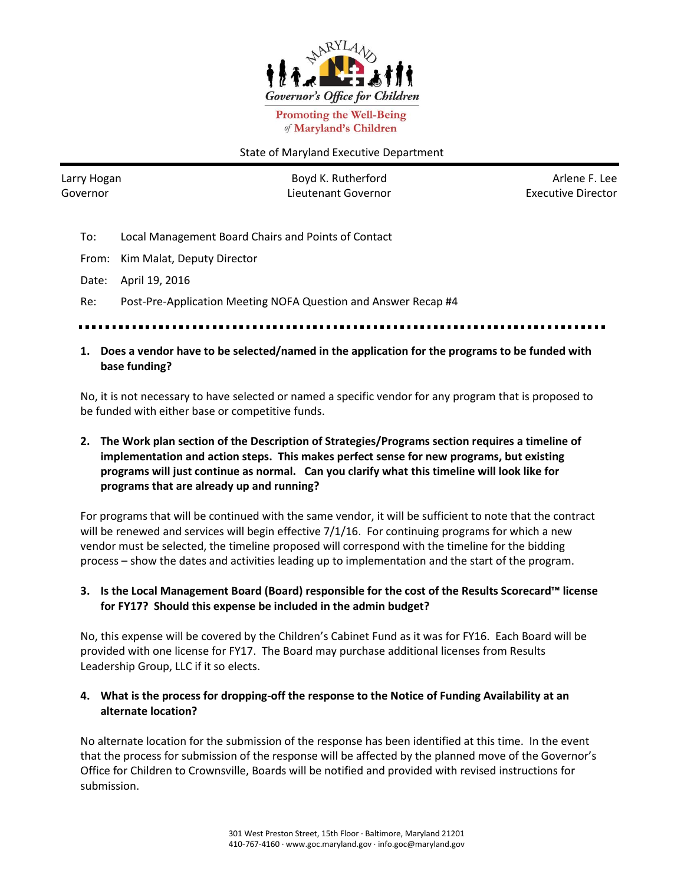

**Promoting the Well-Being** of Maryland's Children

#### State of Maryland Executive Department

Larry Hogan Governor

Boyd K. Rutherford Lieutenant Governor

Arlene F. Lee Executive Director

- To: Local Management Board Chairs and Points of Contact
- From: Kim Malat, Deputy Director
- Date: April 19, 2016

Re: Post-Pre-Application Meeting NOFA Question and Answer Recap #4

#### **1. Does a vendor have to be selected/named in the application for the programs to be funded with base funding?**

No, it is not necessary to have selected or named a specific vendor for any program that is proposed to be funded with either base or competitive funds.

# **2. The Work plan section of the Description of Strategies/Programs section requires a timeline of implementation and action steps. This makes perfect sense for new programs, but existing programs will just continue as normal. Can you clarify what this timeline will look like for programs that are already up and running?**

For programs that will be continued with the same vendor, it will be sufficient to note that the contract will be renewed and services will begin effective 7/1/16. For continuing programs for which a new vendor must be selected, the timeline proposed will correspond with the timeline for the bidding process – show the dates and activities leading up to implementation and the start of the program.

## **3. Is the Local Management Board (Board) responsible for the cost of the Results Scorecard™ license for FY17? Should this expense be included in the admin budget?**

No, this expense will be covered by the Children's Cabinet Fund as it was for FY16. Each Board will be provided with one license for FY17. The Board may purchase additional licenses from Results Leadership Group, LLC if it so elects.

## **4. What is the process for dropping-off the response to the Notice of Funding Availability at an alternate location?**

No alternate location for the submission of the response has been identified at this time. In the event that the process for submission of the response will be affected by the planned move of the Governor's Office for Children to Crownsville, Boards will be notified and provided with revised instructions for submission.